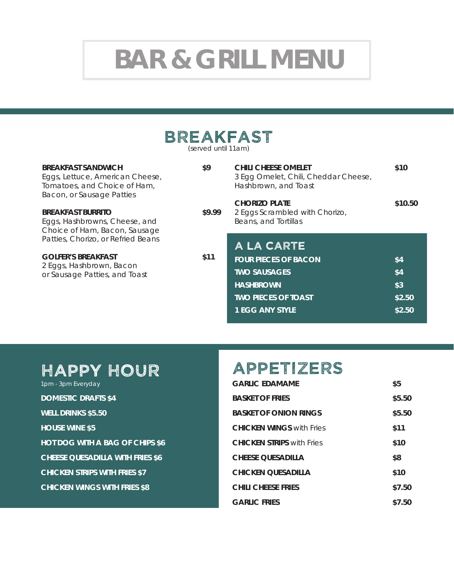# **BAR & GRILL MENU**

# Breakfast

(served until 11am)

| <b>BREAKFAST SANDWICH</b><br>Eggs, Lettuce, American Cheese,<br>Tomatoes, and Choice of Ham,<br>Bacon, or Sausage Patties | \$9    | <b>CHILI CHEESE OMELET</b><br>3 Egg Omelet, Chili, Cheddar Cheese,<br>Hashbrown, and Toast | \$10    |
|---------------------------------------------------------------------------------------------------------------------------|--------|--------------------------------------------------------------------------------------------|---------|
| <b>BREAKFAST BURRITO</b><br>Eggs, Hashbrowns, Cheese, and<br>Choice of Ham, Bacon, Sausage                                | \$9.99 | <b>CHORIZO PLATE</b><br>2 Eggs Scrambled with Chorizo,<br>Beans, and Tortillas             | \$10.50 |
| Patties, Chorizo, or Refried Beans                                                                                        |        | A LA CARTE                                                                                 |         |
| <b>GOLFER'S BREAKFAST</b><br>2 Eggs, Hashbrown, Bacon<br>or Sausage Patties, and Toast                                    | \$11   | <b>FOUR PIECES OF BACON</b>                                                                | \$4     |
|                                                                                                                           |        | <b>TWO SAUSAGES</b>                                                                        | \$4     |
|                                                                                                                           |        | <b>HASHBROWN</b>                                                                           | \$3     |
|                                                                                                                           |        | <b>TWO PIECES OF TOAST</b>                                                                 | \$2.50  |
|                                                                                                                           |        | 1 EGG ANY STYLE                                                                            | \$2.50  |

## HAPPY HOUR

| 1pm - 3pm Everyday                      |
|-----------------------------------------|
| <b>DOMESTIC DRAFTS \$4</b>              |
| <b>WELL DRINKS \$5.50</b>               |
| <b>HOUSE WINE \$5</b>                   |
| <b>HOT DOG WITH A BAG OF CHIPS \$6</b>  |
| <b>CHEESE QUESADILLA WITH FRIES \$6</b> |
| <b>CHICKEN STRIPS WITH FRIES \$7</b>    |
| <b>CHICKEN WINGS WITH FRIES \$8</b>     |

### APPETIZERS

| <b>GARLIC EDAMAME</b>            | \$5    |
|----------------------------------|--------|
| <b>BASKET OF FRIES</b>           | \$5.50 |
| <b>BASKET OF ONION RINGS</b>     | \$5.50 |
| <b>CHICKEN WINGS with Fries</b>  | \$11   |
| <b>CHICKEN STRIPS</b> with Fries | \$10   |
| <b>CHEESE OUESADILLA</b>         | \$8    |
| <b>CHICKEN OUESADILLA</b>        | \$10   |
| <b>CHILI CHEESE FRIES</b>        | \$7.50 |
| <b>GARLIC FRIES</b>              | \$7.50 |